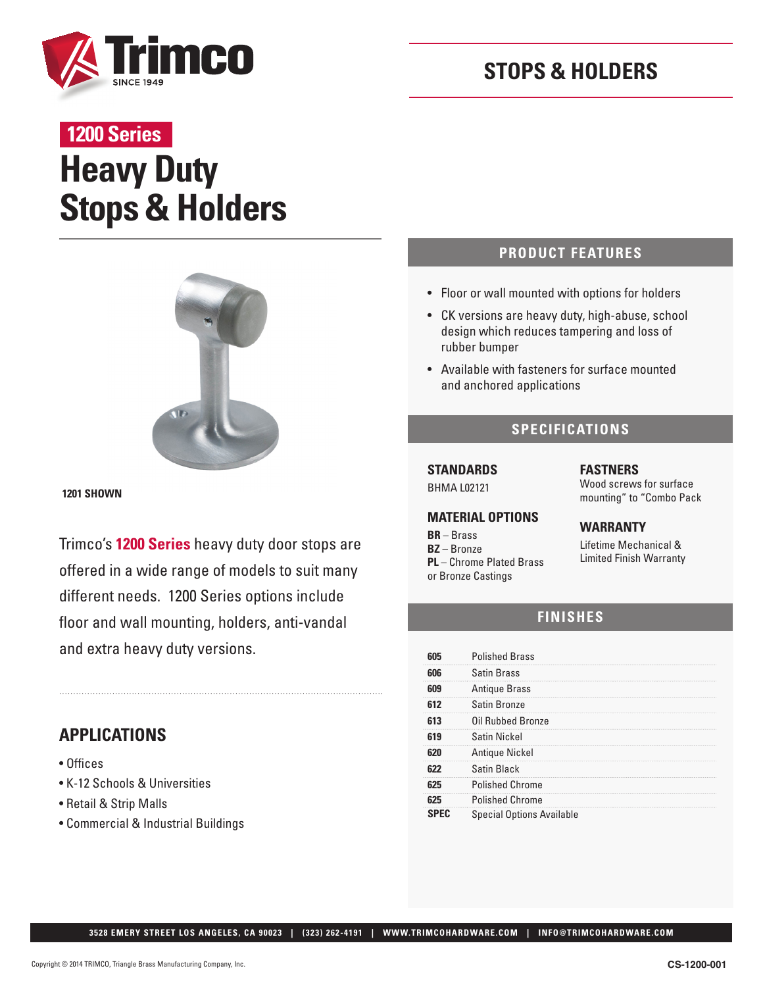

## **STOPS & HOLDERS**

# **Heavy Duty 1200 Series**

# **Stops & Holders**



**1201 SHOWN**

Trimco's **1200 Series** heavy duty door stops are offered in a wide range of models to suit many different needs. 1200 Series options include floor and wall mounting, holders, anti-vandal and extra heavy duty versions.

## **APPLICATIONS**

- Offices
- K-12 Schools & Universities
- Retail & Strip Malls
- Commercial & Industrial Buildings

#### **PRODUCT FEATURES**

- Floor or wall mounted with options for holders
- CK versions are heavy duty, high-abuse, school design which reduces tampering and loss of rubber bumper
- Available with fasteners for surface mounted and anchored applications

#### **SPECIFICATIONS**

**STANDARDS**  BHMA L02121

#### **MATERIAL OPTIONS**

**BR** – Brass **BZ** – Bronze **PL** – Chrome Plated Brass or Bronze Castings

**FASTNERS**  Wood screws for surface mounting" to "Combo Pack

#### **WARRANTY**

Lifetime Mechanical & Limited Finish Warranty

## **FINISHES**

|     | <b>Polished Brass</b>            |
|-----|----------------------------------|
| 606 | <b>Satin Brass</b>               |
|     | <b>Antique Brass</b>             |
| 612 | Satin Bronze                     |
|     | Oil Rubbed Bronze                |
|     | Satin Nickel                     |
|     | Antique Nickel                   |
|     | Satin Black                      |
|     | <b>Polished Chrome</b>           |
|     | <b>Polished Chrome</b>           |
|     | <b>Special Options Available</b> |

 **3528 EMERY STREET LOS ANGELES, CA 90023 | (323) 262-4191 | WWW.TRIMCOHARDWARE.COM | INFO@TRIMCOHARDWARE.COM**